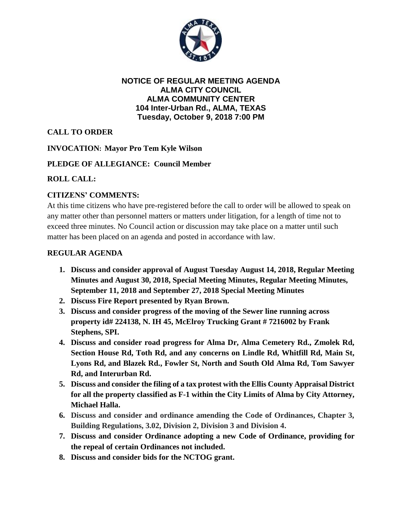

#### **NOTICE OF REGULAR MEETING AGENDA ALMA CITY COUNCIL ALMA COMMUNITY CENTER 104 Inter-Urban Rd., ALMA, TEXAS Tuesday, October 9, 2018 7:00 PM**

# **CALL TO ORDER**

### **INVOCATION: Mayor Pro Tem Kyle Wilson**

### **PLEDGE OF ALLEGIANCE: Council Member**

### **ROLL CALL:**

## **CITIZENS' COMMENTS:**

At this time citizens who have pre-registered before the call to order will be allowed to speak on any matter other than personnel matters or matters under litigation, for a length of time not to exceed three minutes. No Council action or discussion may take place on a matter until such matter has been placed on an agenda and posted in accordance with law.

### **REGULAR AGENDA**

- **1. Discuss and consider approval of August Tuesday August 14, 2018, Regular Meeting Minutes and August 30, 2018, Special Meeting Minutes, Regular Meeting Minutes, September 11, 2018 and September 27, 2018 Special Meeting Minutes**
- **2. Discuss Fire Report presented by Ryan Brown.**
- **3. Discuss and consider progress of the moving of the Sewer line running across property id# 224138, N. IH 45, McElroy Trucking Grant # 7216002 by Frank Stephens, SPI.**
- **4. Discuss and consider road progress for Alma Dr, Alma Cemetery Rd., Zmolek Rd, Section House Rd, Toth Rd, and any concerns on Lindle Rd, Whitfill Rd, Main St, Lyons Rd, and Blazek Rd., Fowler St, North and South Old Alma Rd, Tom Sawyer Rd, and Interurban Rd.**
- **5. Discuss and consider the filing of a tax protest with the Ellis County Appraisal District for all the property classified as F-1 within the City Limits of Alma by City Attorney, Michael Halla.**
- **6. Discuss and consider and ordinance amending the Code of Ordinances, Chapter 3, Building Regulations, 3.02, Division 2, Division 3 and Division 4.**
- **7. Discuss and consider Ordinance adopting a new Code of Ordinance, providing for the repeal of certain Ordinances not included.**
- **8. Discuss and consider bids for the NCTOG grant.**